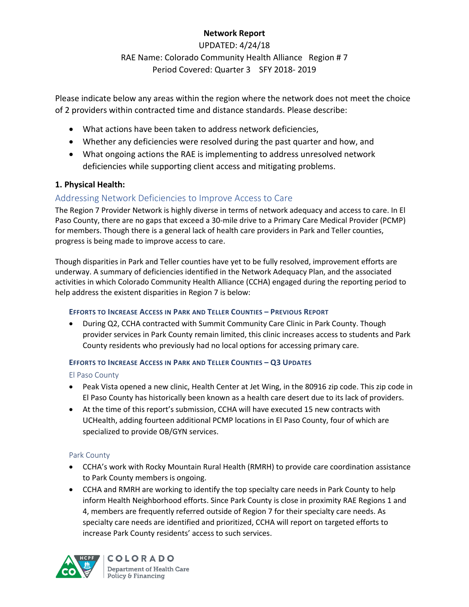# **Network Report**

UPDATED: 4/24/18 RAE Name: Colorado Community Health Alliance Region # 7 Period Covered: Quarter 3 SFY 2018- 2019

Please indicate below any areas within the region where the network does not meet the choice of 2 providers within contracted time and distance standards. Please describe:

- What actions have been taken to address network deficiencies,
- Whether any deficiencies were resolved during the past quarter and how, and
- What ongoing actions the RAE is implementing to address unresolved network deficiencies while supporting client access and mitigating problems.

# **1. Physical Health:**

# Addressing Network Deficiencies to Improve Access to Care

The Region 7 Provider Network is highly diverse in terms of network adequacy and access to care. In El Paso County, there are no gaps that exceed a 30-mile drive to a Primary Care Medical Provider (PCMP) for members. Though there is a general lack of health care providers in Park and Teller counties, progress is being made to improve access to care.

Though disparities in Park and Teller counties have yet to be fully resolved, improvement efforts are underway. A summary of deficiencies identified in the Network Adequacy Plan, and the associated activities in which Colorado Community Health Alliance (CCHA) engaged during the reporting period to help address the existent disparities in Region 7 is below:

# **EFFORTS TO INCREASE ACCESS IN PARK AND TELLER COUNTIES – PREVIOUS REPORT**

 During Q2, CCHA contracted with Summit Community Care Clinic in Park County. Though provider services in Park County remain limited, this clinic increases access to students and Park County residents who previously had no local options for accessing primary care.

## **EFFORTS TO INCREASE ACCESS IN PARK AND TELLER COUNTIES – Q3 UPDATES**

## El Paso County

- Peak Vista opened a new clinic, Health Center at Jet Wing, in the 80916 zip code. This zip code in El Paso County has historically been known as a health care desert due to its lack of providers.
- At the time of this report's submission, CCHA will have executed 15 new contracts with UCHealth, adding fourteen additional PCMP locations in El Paso County, four of which are specialized to provide OB/GYN services.

# Park County

- CCHA's work with Rocky Mountain Rural Health (RMRH) to provide care coordination assistance to Park County members is ongoing.
- CCHA and RMRH are working to identify the top specialty care needs in Park County to help inform Health Neighborhood efforts. Since Park County is close in proximity RAE Regions 1 and 4, members are frequently referred outside of Region 7 for their specialty care needs. As specialty care needs are identified and prioritized, CCHA will report on targeted efforts to increase Park County residents' access to such services.

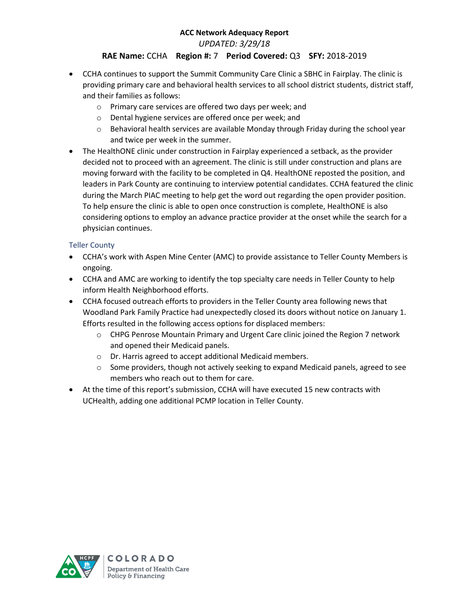*UPDATED: 3/29/18*

# **RAE Name:** CCHA **Region #:** 7 **Period Covered:** Q3 **SFY:** 2018-2019

- CCHA continues to support the Summit Community Care Clinic a SBHC in Fairplay. The clinic is providing primary care and behavioral health services to all school district students, district staff, and their families as follows:
	- o Primary care services are offered two days per week; and
	- o Dental hygiene services are offered once per week; and
	- $\circ$  Behavioral health services are available Monday through Friday during the school year and twice per week in the summer.
- The HealthONE clinic under construction in Fairplay experienced a setback, as the provider decided not to proceed with an agreement. The clinic is still under construction and plans are moving forward with the facility to be completed in Q4. HealthONE reposted the position, and leaders in Park County are continuing to interview potential candidates. CCHA featured the clinic during the March PIAC meeting to help get the word out regarding the open provider position. To help ensure the clinic is able to open once construction is complete, HealthONE is also considering options to employ an advance practice provider at the onset while the search for a physician continues.

### Teller County

- CCHA's work with Aspen Mine Center (AMC) to provide assistance to Teller County Members is ongoing.
- CCHA and AMC are working to identify the top specialty care needs in Teller County to help inform Health Neighborhood efforts.
- CCHA focused outreach efforts to providers in the Teller County area following news that Woodland Park Family Practice had unexpectedly closed its doors without notice on January 1. Efforts resulted in the following access options for displaced members:
	- $\circ$  CHPG Penrose Mountain Primary and Urgent Care clinic joined the Region 7 network and opened their Medicaid panels.
	- o Dr. Harris agreed to accept additional Medicaid members.
	- $\circ$  Some providers, though not actively seeking to expand Medicaid panels, agreed to see members who reach out to them for care.
- At the time of this report's submission, CCHA will have executed 15 new contracts with UCHealth, adding one additional PCMP location in Teller County.

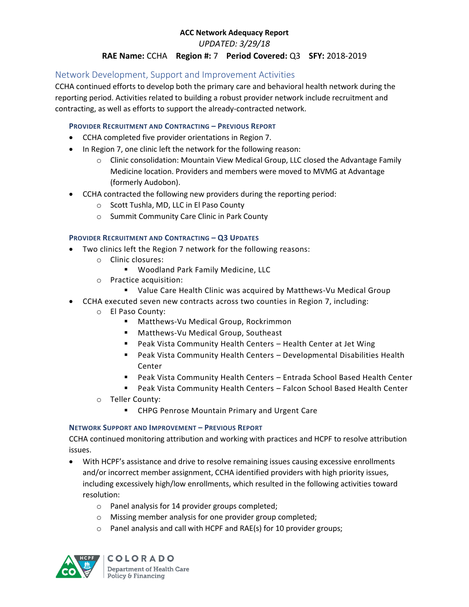*UPDATED: 3/29/18*

# **RAE Name:** CCHA **Region #:** 7 **Period Covered:** Q3 **SFY:** 2018-2019

# Network Development, Support and Improvement Activities

CCHA continued efforts to develop both the primary care and behavioral health network during the reporting period. Activities related to building a robust provider network include recruitment and contracting, as well as efforts to support the already-contracted network.

#### **PROVIDER RECRUITMENT AND CONTRACTING – PREVIOUS REPORT**

- CCHA completed five provider orientations in Region 7.
- In Region 7, one clinic left the network for the following reason:
	- o Clinic consolidation: Mountain View Medical Group, LLC closed the Advantage Family Medicine location. Providers and members were moved to MVMG at Advantage (formerly Audobon).
- CCHA contracted the following new providers during the reporting period:
	- o Scott Tushla, MD, LLC in El Paso County
	- o Summit Community Care Clinic in Park County

#### **PROVIDER RECRUITMENT AND CONTRACTING – Q3 UPDATES**

- Two clinics left the Region 7 network for the following reasons:
	- o Clinic closures:
		- Woodland Park Family Medicine, LLC
	- o Practice acquisition:
		- Value Care Health Clinic was acquired by Matthews-Vu Medical Group
- CCHA executed seven new contracts across two counties in Region 7, including:
	- o El Paso County:
		- **Matthews-Vu Medical Group, Rockrimmon**
		- **Matthews-Vu Medical Group, Southeast**
		- Peak Vista Community Health Centers Health Center at Jet Wing
		- Peak Vista Community Health Centers Developmental Disabilities Health Center
		- Peak Vista Community Health Centers Entrada School Based Health Center
		- Peak Vista Community Health Centers Falcon School Based Health Center
	- o Teller County:
		- **EXPC Penrose Mountain Primary and Urgent Care**

#### **NETWORK SUPPORT AND IMPROVEMENT – PREVIOUS REPORT**

CCHA continued monitoring attribution and working with practices and HCPF to resolve attribution issues.

- With HCPF's assistance and drive to resolve remaining issues causing excessive enrollments and/or incorrect member assignment, CCHA identified providers with high priority issues, including excessively high/low enrollments, which resulted in the following activities toward resolution:
	- o Panel analysis for 14 provider groups completed;
	- o Missing member analysis for one provider group completed;
	- o Panel analysis and call with HCPF and RAE(s) for 10 provider groups;

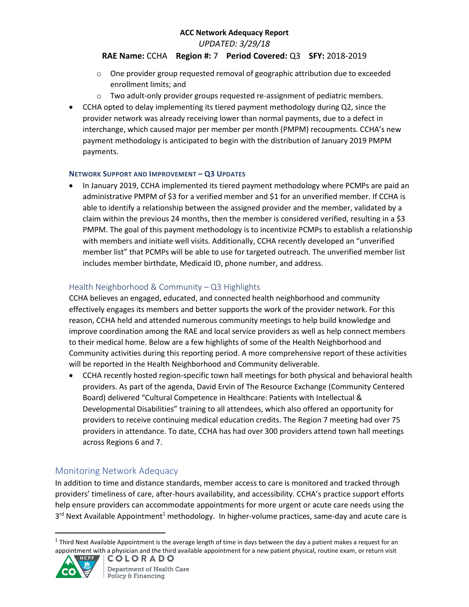*UPDATED: 3/29/18*

## **RAE Name:** CCHA **Region #:** 7 **Period Covered:** Q3 **SFY:** 2018-2019

- $\circ$  One provider group requested removal of geographic attribution due to exceeded enrollment limits; and
- $\circ$  Two adult-only provider groups requested re-assignment of pediatric members.
- CCHA opted to delay implementing its tiered payment methodology during Q2, since the provider network was already receiving lower than normal payments, due to a defect in interchange, which caused major per member per month (PMPM) recoupments. CCHA's new payment methodology is anticipated to begin with the distribution of January 2019 PMPM payments.

#### **NETWORK SUPPORT AND IMPROVEMENT – Q3 UPDATES**

 In January 2019, CCHA implemented its tiered payment methodology where PCMPs are paid an administrative PMPM of \$3 for a verified member and \$1 for an unverified member. If CCHA is able to identify a relationship between the assigned provider and the member, validated by a claim within the previous 24 months, then the member is considered verified, resulting in a \$3 PMPM. The goal of this payment methodology is to incentivize PCMPs to establish a relationship with members and initiate well visits. Additionally, CCHA recently developed an "unverified member list" that PCMPs will be able to use for targeted outreach. The unverified member list includes member birthdate, Medicaid ID, phone number, and address.

# Health Neighborhood & Community – Q3 Highlights

CCHA believes an engaged, educated, and connected health neighborhood and community effectively engages its members and better supports the work of the provider network. For this reason, CCHA held and attended numerous community meetings to help build knowledge and improve coordination among the RAE and local service providers as well as help connect members to their medical home. Below are a few highlights of some of the Health Neighborhood and Community activities during this reporting period. A more comprehensive report of these activities will be reported in the Health Neighborhood and Community deliverable.

 CCHA recently hosted region-specific town hall meetings for both physical and behavioral health providers. As part of the agenda, David Ervin of The Resource Exchange (Community Centered Board) delivered "Cultural Competence in Healthcare: Patients with Intellectual & Developmental Disabilities" training to all attendees, which also offered an opportunity for providers to receive continuing medical education credits. The Region 7 meeting had over 75 providers in attendance. To date, CCHA has had over 300 providers attend town hall meetings across Regions 6 and 7.

# Monitoring Network Adequacy

In addition to time and distance standards, member access to care is monitored and tracked through providers' timeliness of care, after-hours availability, and accessibility. CCHA's practice support efforts help ensure providers can accommodate appointments for more urgent or acute care needs using the 3<sup>rd</sup> Next Available Appointment<sup>1</sup> methodology. In higher-volume practices, same-day and acute care is

<sup>&</sup>lt;sup>1</sup> Third Next Available Appointment is the average length of time in days between the day a patient makes a request for an appointment with a physician and the third available appointment for a new patient physical, routine exam, or return visit



 $\overline{a}$ 

**COLORADO**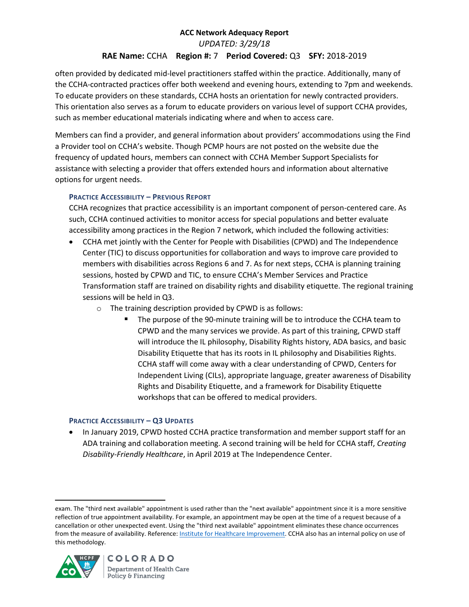# **ACC Network Adequacy Report**  *UPDATED: 3/29/18*

# **RAE Name:** CCHA **Region #:** 7 **Period Covered:** Q3 **SFY:** 2018-2019

often provided by dedicated mid-level practitioners staffed within the practice. Additionally, many of the CCHA-contracted practices offer both weekend and evening hours, extending to 7pm and weekends. To educate providers on these standards, CCHA hosts an orientation for newly contracted providers. This orientation also serves as a forum to educate providers on various level of support CCHA provides, such as member educational materials indicating where and when to access care.

Members can find a provider, and general information about providers' accommodations using the Find a Provider tool on CCHA's website. Though PCMP hours are not posted on the website due the frequency of updated hours, members can connect with CCHA Member Support Specialists for assistance with selecting a provider that offers extended hours and information about alternative options for urgent needs.

## **PRACTICE ACCESSIBILITY – PREVIOUS REPORT**

CCHA recognizes that practice accessibility is an important component of person-centered care. As such, CCHA continued activities to monitor access for special populations and better evaluate accessibility among practices in the Region 7 network, which included the following activities:

- CCHA met jointly with the Center for People with Disabilities (CPWD) and The Independence Center (TIC) to discuss opportunities for collaboration and ways to improve care provided to members with disabilities across Regions 6 and 7. As for next steps, CCHA is planning training sessions, hosted by CPWD and TIC, to ensure CCHA's Member Services and Practice Transformation staff are trained on disability rights and disability etiquette. The regional training sessions will be held in Q3.
	- o The training description provided by CPWD is as follows:
		- The purpose of the 90-minute training will be to introduce the CCHA team to CPWD and the many services we provide. As part of this training, CPWD staff will introduce the IL philosophy, Disability Rights history, ADA basics, and basic Disability Etiquette that has its roots in IL philosophy and Disabilities Rights. CCHA staff will come away with a clear understanding of CPWD, Centers for Independent Living (CILs), appropriate language, greater awareness of Disability Rights and Disability Etiquette, and a framework for Disability Etiquette workshops that can be offered to medical providers.

#### **PRACTICE ACCESSIBILITY – Q3 UPDATES**

• In January 2019, CPWD hosted CCHA practice transformation and member support staff for an ADA training and collaboration meeting. A second training will be held for CCHA staff, *Creating Disability-Friendly Healthcare*, in April 2019 at The Independence Center.

exam. The "third next available" appointment is used rather than the "next available" appointment since it is a more sensitive reflection of true appointment availability. For example, an appointment may be open at the time of a request because of a cancellation or other unexpected event. Using the "third next available" appointment eliminates these chance occurrences from the measure of availability. Reference[: Institute for Healthcare Improvement.](http://www.ihi.org/resources/Pages/Measures/ThirdNextAvailableAppointment.aspx) CCHA also has an internal policy on use of this methodology.



 $\overline{a}$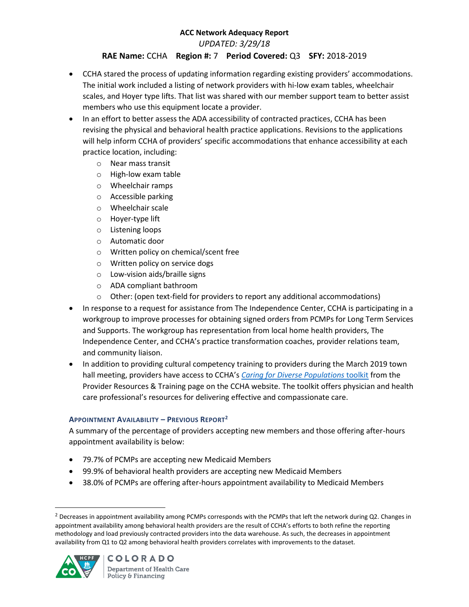*UPDATED: 3/29/18*

# **RAE Name:** CCHA **Region #:** 7 **Period Covered:** Q3 **SFY:** 2018-2019

- CCHA stared the process of updating information regarding existing providers' accommodations. The initial work included a listing of network providers with hi-low exam tables, wheelchair scales, and Hoyer type lifts. That list was shared with our member support team to better assist members who use this equipment locate a provider.
- In an effort to better assess the ADA accessibility of contracted practices, CCHA has been revising the physical and behavioral health practice applications. Revisions to the applications will help inform CCHA of providers' specific accommodations that enhance accessibility at each practice location, including:
	- o Near mass transit
	- o High-low exam table
	- o Wheelchair ramps
	- o Accessible parking
	- o Wheelchair scale
	- o Hoyer-type lift
	- o Listening loops
	- o Automatic door
	- o Written policy on chemical/scent free
	- o Written policy on service dogs
	- o Low-vision aids/braille signs
	- o ADA compliant bathroom
	- $\circ$  Other: (open text-field for providers to report any additional accommodations)
- In response to a request for assistance from The Independence Center, CCHA is participating in a workgroup to improve processes for obtaining signed orders from PCMPs for Long Term Services and Supports. The workgroup has representation from local home health providers, The Independence Center, and CCHA's practice transformation coaches, provider relations team, and community liaison.
- In addition to providing cultural competency training to providers during the March 2019 town hall meeting, providers have access to CCHA's *[Caring for Diverse Populations](https://www.cchacares.com/media/1266/caring-for-diverse-populations-toolkit.pdf)* toolkit from the Provider Resources & Training page on the CCHA website. The toolkit offers physician and health care professional's resources for delivering effective and compassionate care.

## **APPOINTMENT AVAILABILITY – PREVIOUS REPORT<sup>2</sup>**

A summary of the percentage of providers accepting new members and those offering after-hours appointment availability is below:

- 79.7% of PCMPs are accepting new Medicaid Members
- 99.9% of behavioral health providers are accepting new Medicaid Members
- 38.0% of PCMPs are offering after-hours appointment availability to Medicaid Members

 $<sup>2</sup>$  Decreases in appointment availability among PCMPs corresponds with the PCMPs that left the network during Q2. Changes in</sup> appointment availability among behavioral health providers are the result of CCHA's efforts to both refine the reporting methodology and load previously contracted providers into the data warehouse. As such, the decreases in appointment availability from Q1 to Q2 among behavioral health providers correlates with improvements to the dataset.



 $\overline{a}$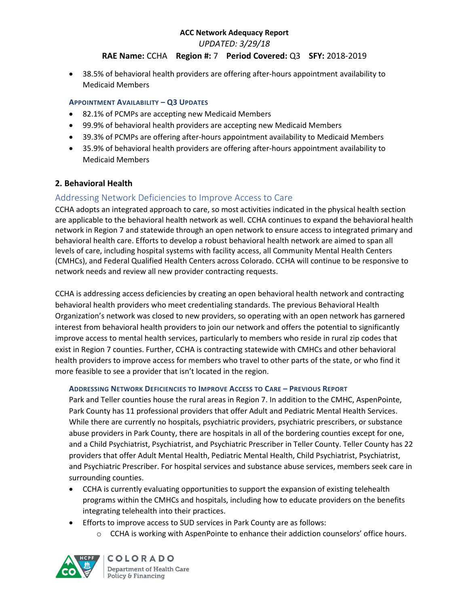*UPDATED: 3/29/18*

# **RAE Name:** CCHA **Region #:** 7 **Period Covered:** Q3 **SFY:** 2018-2019

 38.5% of behavioral health providers are offering after-hours appointment availability to Medicaid Members

#### **APPOINTMENT AVAILABILITY – Q3 UPDATES**

- 82.1% of PCMPs are accepting new Medicaid Members
- 99.9% of behavioral health providers are accepting new Medicaid Members
- 39.3% of PCMPs are offering after-hours appointment availability to Medicaid Members
- 35.9% of behavioral health providers are offering after-hours appointment availability to Medicaid Members

## **2. Behavioral Health**

# Addressing Network Deficiencies to Improve Access to Care

CCHA adopts an integrated approach to care, so most activities indicated in the physical health section are applicable to the behavioral health network as well. CCHA continues to expand the behavioral health network in Region 7 and statewide through an open network to ensure access to integrated primary and behavioral health care. Efforts to develop a robust behavioral health network are aimed to span all levels of care, including hospital systems with facility access, all Community Mental Health Centers (CMHCs), and Federal Qualified Health Centers across Colorado. CCHA will continue to be responsive to network needs and review all new provider contracting requests.

CCHA is addressing access deficiencies by creating an open behavioral health network and contracting behavioral health providers who meet credentialing standards. The previous Behavioral Health Organization's network was closed to new providers, so operating with an open network has garnered interest from behavioral health providers to join our network and offers the potential to significantly improve access to mental health services, particularly to members who reside in rural zip codes that exist in Region 7 counties. Further, CCHA is contracting statewide with CMHCs and other behavioral health providers to improve access for members who travel to other parts of the state, or who find it more feasible to see a provider that isn't located in the region.

#### **ADDRESSING NETWORK DEFICIENCIES TO IMPROVE ACCESS TO CARE – PREVIOUS REPORT**

Park and Teller counties house the rural areas in Region 7. In addition to the CMHC, AspenPointe, Park County has 11 professional providers that offer Adult and Pediatric Mental Health Services. While there are currently no hospitals, psychiatric providers, psychiatric prescribers, or substance abuse providers in Park County, there are hospitals in all of the bordering counties except for one, and a Child Psychiatrist, Psychiatrist, and Psychiatric Prescriber in Teller County. Teller County has 22 providers that offer Adult Mental Health, Pediatric Mental Health, Child Psychiatrist, Psychiatrist, and Psychiatric Prescriber. For hospital services and substance abuse services, members seek care in surrounding counties.

- CCHA is currently evaluating opportunities to support the expansion of existing telehealth programs within the CMHCs and hospitals, including how to educate providers on the benefits integrating telehealth into their practices.
- Efforts to improve access to SUD services in Park County are as follows:
	- $\circ$  CCHA is working with AspenPointe to enhance their addiction counselors' office hours.

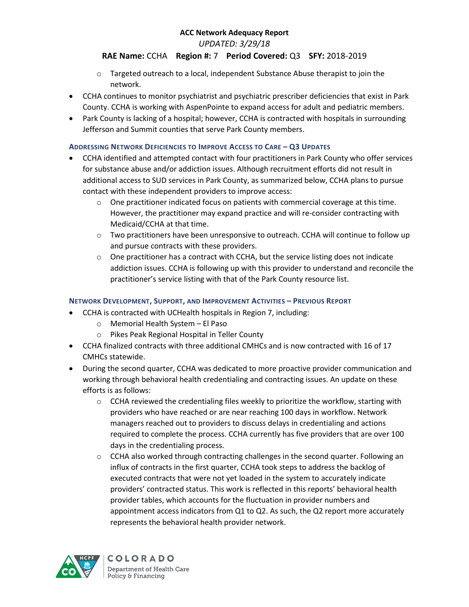*UPDATED: 3/29/18*

# **RAE Name:** CCHA **Region #:** 7 **Period Covered:** Q3 **SFY:** 2018-2019

- o Targeted outreach to a local, independent Substance Abuse therapist to join the network.
- CCHA continues to monitor psychiatrist and psychiatric prescriber deficiencies that exist in Park County. CCHA is working with AspenPointe to expand access for adult and pediatric members.
- Park County is lacking of a hospital; however, CCHA is contracted with hospitals in surrounding Jefferson and Summit counties that serve Park County members.

### **ADDRESSING NETWORK DEFICIENCIES TO IMPROVE ACCESS TO CARE – Q3 UPDATES**

- CCHA identified and attempted contact with four practitioners in Park County who offer services for substance abuse and/or addiction issues. Although recruitment efforts did not result in additional access to SUD services in Park County, as summarized below, CCHA plans to pursue contact with these independent providers to improve access:
	- $\circ$  One practitioner indicated focus on patients with commercial coverage at this time. However, the practitioner may expand practice and will re-consider contracting with Medicaid/CCHA at that time.
	- o Two practitioners have been unresponsive to outreach. CCHA will continue to follow up and pursue contracts with these providers.
	- $\circ$  One practitioner has a contract with CCHA, but the service listing does not indicate addiction issues. CCHA is following up with this provider to understand and reconcile the practitioner's service listing with that of the Park County resource list.

## **NETWORK DEVELOPMENT, SUPPORT, AND IMPROVEMENT ACTIVITIES – PREVIOUS REPORT**

- CCHA is contracted with UCHealth hospitals in Region 7, including:
	- o Memorial Health System El Paso
	- o Pikes Peak Regional Hospital in Teller County
- CCHA finalized contracts with three additional CMHCs and is now contracted with 16 of 17 CMHCs statewide.
- During the second quarter, CCHA was dedicated to more proactive provider communication and working through behavioral health credentialing and contracting issues. An update on these efforts is as follows:
	- $\circ$  CCHA reviewed the credentialing files weekly to prioritize the workflow, starting with providers who have reached or are near reaching 100 days in workflow. Network managers reached out to providers to discuss delays in credentialing and actions required to complete the process. CCHA currently has five providers that are over 100 days in the credentialing process.
	- $\circ$  CCHA also worked through contracting challenges in the second quarter. Following an influx of contracts in the first quarter, CCHA took steps to address the backlog of executed contracts that were not yet loaded in the system to accurately indicate providers' contracted status. This work is reflected in this reports' behavioral health provider tables, which accounts for the fluctuation in provider numbers and appointment access indicators from Q1 to Q2. As such, the Q2 report more accurately represents the behavioral health provider network.

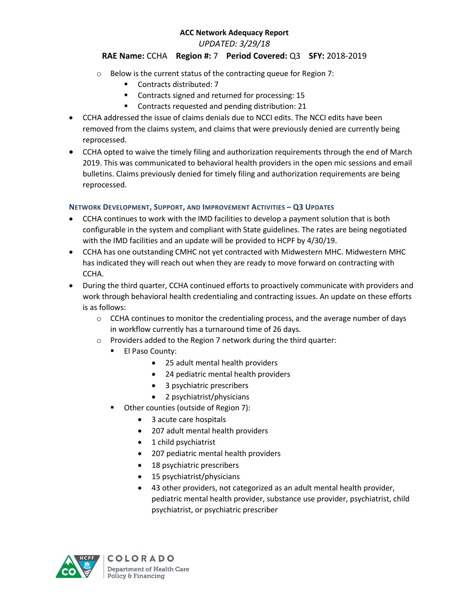*UPDATED: 3/29/18*

# **RAE Name:** CCHA **Region #:** 7 **Period Covered:** Q3 **SFY:** 2018-2019

- o Below is the current status of the contracting queue for Region 7:
	- Contracts distributed: 7
	- **EXECONTRACTS** Signed and returned for processing: 15
	- **EXECONTRELIST CONTREX 121 CONTREX 121 CONTREX 121 CONTREX 121 CONTREX 121 CONTREX 121 CONTREX 121 CONTREX 121 CONTREX 121 CONTREX 121 CONTREX 121 CONTREX 121 CONTRE**
- CCHA addressed the issue of claims denials due to NCCI edits. The NCCI edits have been removed from the claims system, and claims that were previously denied are currently being reprocessed.
- CCHA opted to waive the timely filing and authorization requirements through the end of March 2019. This was communicated to behavioral health providers in the open mic sessions and email bulletins. Claims previously denied for timely filing and authorization requirements are being reprocessed.

### **NETWORK DEVELOPMENT, SUPPORT, AND IMPROVEMENT ACTIVITIES – Q3 UPDATES**

- CCHA continues to work with the IMD facilities to develop a payment solution that is both configurable in the system and compliant with State guidelines. The rates are being negotiated with the IMD facilities and an update will be provided to HCPF by 4/30/19.
- CCHA has one outstanding CMHC not yet contracted with Midwestern MHC. Midwestern MHC has indicated they will reach out when they are ready to move forward on contracting with CCHA.
- During the third quarter, CCHA continued efforts to proactively communicate with providers and work through behavioral health credentialing and contracting issues. An update on these efforts is as follows:
	- $\circ$  CCHA continues to monitor the credentialing process, and the average number of days in workflow currently has a turnaround time of 26 days.
	- o Providers added to the Region 7 network during the third quarter:
		- **El Paso County:** 
			- 25 adult mental health providers
			- 24 pediatric mental health providers
			- 3 psychiatric prescribers
			- 2 psychiatrist/physicians
		- **•** Other counties (outside of Region 7):
			- 3 acute care hospitals
			- 207 adult mental health providers
			- 1 child psychiatrist
			- 207 pediatric mental health providers
			- 18 psychiatric prescribers
			- 15 psychiatrist/physicians
			- 43 other providers, not categorized as an adult mental health provider, pediatric mental health provider, substance use provider, psychiatrist, child psychiatrist, or psychiatric prescriber

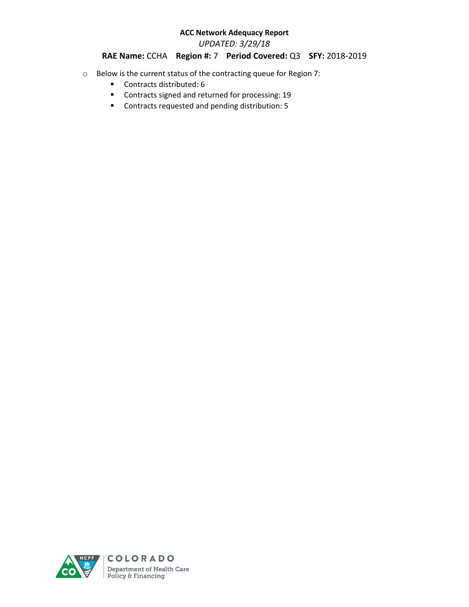*UPDATED: 3/29/18*

# **RAE Name:** CCHA **Region #:** 7 **Period Covered:** Q3 **SFY:** 2018-2019

- o Below is the current status of the contracting queue for Region 7:
	- Contracts distributed: 6
	- Contracts signed and returned for processing: 19
	- Contracts requested and pending distribution: 5

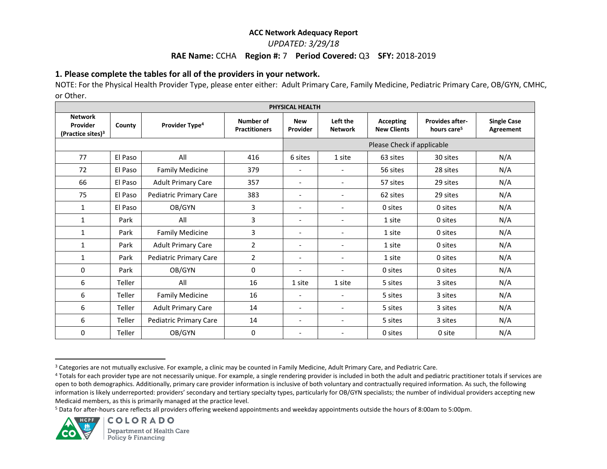*UPDATED: 3/29/18*

#### **RAE Name:** CCHA **Region #:** 7 **Period Covered:** Q3 **SFY:** 2018-2019

# **1. Please complete the tables for all of the providers in your network.**

NOTE: For the Physical Health Provider Type, please enter either: Adult Primary Care, Family Medicine, Pediatric Primary Care, OB/GYN, CMHC, or Other.

| PHYSICAL HEALTH                                             |         |                               |                                   |                            |                            |                                        |                                                   |                                 |  |
|-------------------------------------------------------------|---------|-------------------------------|-----------------------------------|----------------------------|----------------------------|----------------------------------------|---------------------------------------------------|---------------------------------|--|
| <b>Network</b><br>Provider<br>(Practice sites) <sup>3</sup> | County  | Provider Type <sup>4</sup>    | Number of<br><b>Practitioners</b> | <b>New</b><br>Provider     | Left the<br><b>Network</b> | <b>Accepting</b><br><b>New Clients</b> | <b>Provides after-</b><br>hours care <sup>5</sup> | <b>Single Case</b><br>Agreement |  |
|                                                             |         |                               |                                   | Please Check if applicable |                            |                                        |                                                   |                                 |  |
| 77                                                          | El Paso | All                           | 416                               | 6 sites                    | 1 site                     | 63 sites                               | 30 sites                                          | N/A                             |  |
| 72                                                          | El Paso | <b>Family Medicine</b>        | 379                               | $\overline{\phantom{a}}$   | $\overline{\phantom{a}}$   | 56 sites                               | 28 sites                                          | N/A                             |  |
| 66                                                          | El Paso | <b>Adult Primary Care</b>     | 357                               | $\overline{\phantom{a}}$   | $\overline{\phantom{a}}$   | 57 sites                               | 29 sites                                          | N/A                             |  |
| 75                                                          | El Paso | <b>Pediatric Primary Care</b> | 383                               | $\overline{\phantom{a}}$   | $\overline{\phantom{a}}$   | 62 sites                               | 29 sites                                          | N/A                             |  |
| 1                                                           | El Paso | OB/GYN                        | 3                                 | $\qquad \qquad -$          | $\overline{\phantom{a}}$   | 0 sites                                | 0 sites                                           | N/A                             |  |
| $\mathbf{1}$                                                | Park    | All                           | 3                                 | $\overline{\phantom{a}}$   | $\overline{\phantom{a}}$   | 1 site                                 | 0 sites                                           | N/A                             |  |
| 1                                                           | Park    | <b>Family Medicine</b>        | 3                                 | $\overline{\phantom{a}}$   | $\overline{\phantom{a}}$   | 1 site                                 | 0 sites                                           | N/A                             |  |
| $\mathbf{1}$                                                | Park    | <b>Adult Primary Care</b>     | $\overline{2}$                    | $\overline{\phantom{a}}$   | $\overline{\phantom{a}}$   | 1 site                                 | 0 sites                                           | N/A                             |  |
| 1                                                           | Park    | <b>Pediatric Primary Care</b> | $\overline{2}$                    | $\overline{\phantom{a}}$   | $\overline{\phantom{a}}$   | 1 site                                 | 0 sites                                           | N/A                             |  |
| 0                                                           | Park    | OB/GYN                        | 0                                 | $\overline{\phantom{a}}$   | $\overline{\phantom{a}}$   | 0 sites                                | 0 sites                                           | N/A                             |  |
| 6                                                           | Teller  | All                           | 16                                | 1 site                     | 1 site                     | 5 sites                                | 3 sites                                           | N/A                             |  |
| 6                                                           | Teller  | <b>Family Medicine</b>        | 16                                | $\overline{\phantom{a}}$   | $\overline{\phantom{a}}$   | 5 sites                                | 3 sites                                           | N/A                             |  |
| 6                                                           | Teller  | <b>Adult Primary Care</b>     | 14                                | $\overline{\phantom{a}}$   | $\overline{\phantom{a}}$   | 5 sites                                | 3 sites                                           | N/A                             |  |
| 6                                                           | Teller  | <b>Pediatric Primary Care</b> | 14                                | $\overline{\phantom{a}}$   | $\overline{\phantom{a}}$   | 5 sites                                | 3 sites                                           | N/A                             |  |
| 0                                                           | Teller  | OB/GYN                        | 0                                 |                            |                            | 0 sites                                | 0 site                                            | N/A                             |  |

<sup>5</sup> Data for after-hours care reflects all providers offering weekend appointments and weekday appointments outside the hours of 8:00am to 5:00pm.



 $\overline{\phantom{a}}$ 

<sup>&</sup>lt;sup>3</sup> Categories are not mutually exclusive. For example, a clinic may be counted in Family Medicine, Adult Primary Care, and Pediatric Care.

<sup>&</sup>lt;sup>4</sup> Totals for each provider type are not necessarily unique. For example, a single rendering provider is included in both the adult and pediatric practitioner totals if services are open to both demographics. Additionally, primary care provider information is inclusive of both voluntary and contractually required information. As such, the following information is likely underreported: providers' secondary and tertiary specialty types, particularly for OB/GYN specialists; the number of individual providers accepting new Medicaid members, as this is primarily managed at the practice level.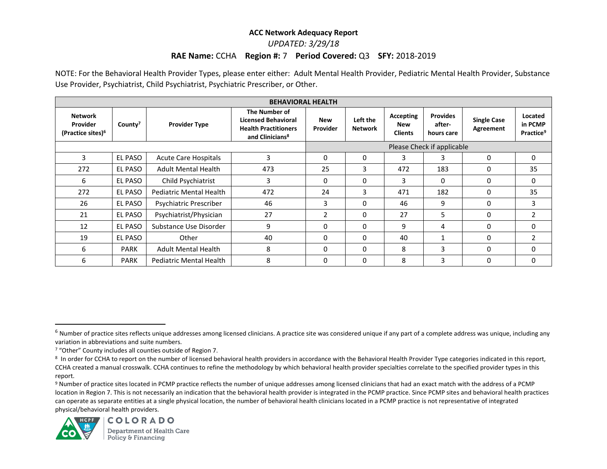## *UPDATED: 3/29/18*

## **RAE Name:** CCHA **Region #:** 7 **Period Covered:** Q3 **SFY:** 2018-2019

NOTE: For the Behavioral Health Provider Types, please enter either: Adult Mental Health Provider, Pediatric Mental Health Provider, Substance Use Provider, Psychiatrist, Child Psychiatrist, Psychiatric Prescriber, or Other.

| <b>BEHAVIORAL HEALTH</b>                                    |                     |                                |                                                                                                           |                            |                            |                                           |                                         |                                 |                                             |  |
|-------------------------------------------------------------|---------------------|--------------------------------|-----------------------------------------------------------------------------------------------------------|----------------------------|----------------------------|-------------------------------------------|-----------------------------------------|---------------------------------|---------------------------------------------|--|
| <b>Network</b><br>Provider<br>(Practice sites) <sup>6</sup> | County <sup>7</sup> | <b>Provider Type</b>           | The Number of<br><b>Licensed Behavioral</b><br><b>Health Practitioners</b><br>and Clinicians <sup>8</sup> | <b>New</b><br>Provider     | Left the<br><b>Network</b> | Accepting<br><b>New</b><br><b>Clients</b> | <b>Provides</b><br>after-<br>hours care | <b>Single Case</b><br>Agreement | Located<br>in PCMP<br>Practice <sup>9</sup> |  |
|                                                             |                     |                                |                                                                                                           | Please Check if applicable |                            |                                           |                                         |                                 |                                             |  |
| 3                                                           | EL PASO             | <b>Acute Care Hospitals</b>    | 3                                                                                                         | 0                          | 0                          | 3                                         | 3                                       | 0                               | 0                                           |  |
| 272                                                         | EL PASO             | <b>Adult Mental Health</b>     | 473                                                                                                       | 25                         | 3                          | 472                                       | 183                                     | 0                               | 35                                          |  |
| 6                                                           | EL PASO             | Child Psychiatrist             | 3                                                                                                         | $\Omega$                   | 0                          | 3                                         | 0                                       | 0                               | 0                                           |  |
| 272                                                         | <b>EL PASO</b>      | <b>Pediatric Mental Health</b> | 472                                                                                                       | 24                         | 3                          | 471                                       | 182                                     | 0                               | 35                                          |  |
| 26                                                          | EL PASO             | Psychiatric Prescriber         | 46                                                                                                        | 3                          | 0                          | 46                                        | 9                                       | 0                               | 3                                           |  |
| 21                                                          | EL PASO             | Psychiatrist/Physician         | 27                                                                                                        | $\overline{2}$             | 0                          | 27                                        | 5                                       | $\Omega$                        | 2                                           |  |
| 12                                                          | <b>EL PASO</b>      | Substance Use Disorder         | 9                                                                                                         | 0                          | 0                          | 9                                         | 4                                       | 0                               | 0                                           |  |
| 19                                                          | EL PASO             | Other                          | 40                                                                                                        | $\Omega$                   | $\Omega$                   | 40                                        | -1                                      | $\Omega$                        | $\overline{2}$                              |  |
| 6                                                           | <b>PARK</b>         | <b>Adult Mental Health</b>     | 8                                                                                                         | $\Omega$                   | 0                          | 8                                         | 3                                       | 0                               | 0                                           |  |
| 6                                                           | <b>PARK</b>         | Pediatric Mental Health        | 8                                                                                                         | 0                          | 0                          | 8                                         | 3                                       | 0                               | 0                                           |  |

<sup>9</sup> Number of practice sites located in PCMP practice reflects the number of unique addresses among licensed clinicians that had an exact match with the address of a PCMP location in Region 7. This is not necessarily an indication that the behavioral health provider is integrated in the PCMP practice. Since PCMP sites and behavioral health practices can operate as separate entities at a single physical location, the number of behavioral health clinicians located in a PCMP practice is not representative of integrated physical/behavioral health providers.



 $\overline{a}$ 

 $6$  Number of practice sites reflects unique addresses among licensed clinicians. A practice site was considered unique if any part of a complete address was unique, including any variation in abbreviations and suite numbers.

<sup>7</sup> "Other" County includes all counties outside of Region 7.

<sup>&</sup>lt;sup>8</sup> In order for CCHA to report on the number of licensed behavioral health providers in accordance with the Behavioral Health Provider Type categories indicated in this report, CCHA created a manual crosswalk. CCHA continues to refine the methodology by which behavioral health provider specialties correlate to the specified provider types in this report.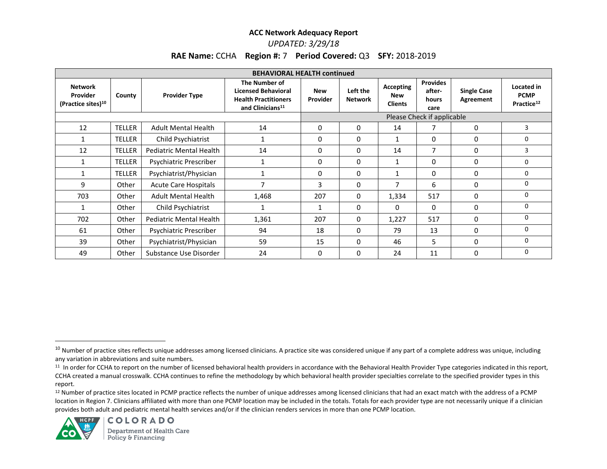# *UPDATED: 3/29/18*

# **RAE Name:** CCHA **Region #:** 7 **Period Covered:** Q3 **SFY:** 2018-2019

| <b>BEHAVIORAL HEALTH continued</b>                    |               |                                |                                                                                                            |                               |                            |                                                  |                                                   |                                 |                                                     |  |
|-------------------------------------------------------|---------------|--------------------------------|------------------------------------------------------------------------------------------------------------|-------------------------------|----------------------------|--------------------------------------------------|---------------------------------------------------|---------------------------------|-----------------------------------------------------|--|
| Network<br>Provider<br>(Practice sites) <sup>10</sup> | County        | <b>Provider Type</b>           | The Number of<br><b>Licensed Behavioral</b><br><b>Health Practitioners</b><br>and Clinicians <sup>11</sup> | <b>New</b><br><b>Provider</b> | Left the<br><b>Network</b> | <b>Accepting</b><br><b>New</b><br><b>Clients</b> | <b>Provides</b><br>after-<br><b>hours</b><br>care | <b>Single Case</b><br>Agreement | Located in<br><b>PCMP</b><br>Practice <sup>12</sup> |  |
|                                                       |               |                                |                                                                                                            | Please Check if applicable    |                            |                                                  |                                                   |                                 |                                                     |  |
| 12                                                    | <b>TELLER</b> | <b>Adult Mental Health</b>     | 14                                                                                                         | 0                             | 0                          | 14                                               | 7                                                 | 0                               | 3                                                   |  |
| 1                                                     | <b>TELLER</b> | Child Psychiatrist             | 1                                                                                                          | $\mathbf{0}$                  | 0                          | 1                                                | 0                                                 | 0                               | 0                                                   |  |
| 12                                                    | <b>TELLER</b> | Pediatric Mental Health        | 14                                                                                                         | 0                             | 0                          | 14                                               | 7                                                 | 0                               | 3                                                   |  |
| $\mathbf{1}$                                          | <b>TELLER</b> | Psychiatric Prescriber         | $\mathbf{1}$                                                                                               | 0                             | 0                          | $\mathbf{1}$                                     | 0                                                 | 0                               | 0                                                   |  |
| $\mathbf{1}$                                          | <b>TELLER</b> | Psychiatrist/Physician         |                                                                                                            | 0                             | 0                          | 1                                                | 0                                                 | 0                               | 0                                                   |  |
| 9                                                     | Other         | <b>Acute Care Hospitals</b>    |                                                                                                            | 3                             | 0                          | 7                                                | 6                                                 | 0                               | 0                                                   |  |
| 703                                                   | Other         | <b>Adult Mental Health</b>     | 1,468                                                                                                      | 207                           | 0                          | 1,334                                            | 517                                               | 0                               | $\Omega$                                            |  |
| 1                                                     | Other         | Child Psychiatrist             | 1                                                                                                          |                               | 0                          | $\Omega$                                         | 0                                                 | 0                               | 0                                                   |  |
| 702                                                   | Other         | <b>Pediatric Mental Health</b> | 1,361                                                                                                      | 207                           | 0                          | 1,227                                            | 517                                               | 0                               | 0                                                   |  |
| 61                                                    | Other         | Psychiatric Prescriber         | 94                                                                                                         | 18                            | 0                          | 79                                               | 13                                                | 0                               | 0                                                   |  |
| 39                                                    | Other         | Psychiatrist/Physician         | 59                                                                                                         | 15                            | 0                          | 46                                               | 5.                                                | $\Omega$                        | 0                                                   |  |
| 49                                                    | Other         | Substance Use Disorder         | 24                                                                                                         | 0                             | 0                          | 24                                               | 11                                                | 0                               | 0                                                   |  |

<sup>12</sup> Number of practice sites located in PCMP practice reflects the number of unique addresses among licensed clinicians that had an exact match with the address of a PCMP location in Region 7. Clinicians affiliated with more than one PCMP location may be included in the totals. Totals for each provider type are not necessarily unique if a clinician provides both adult and pediatric mental health services and/or if the clinician renders services in more than one PCMP location.



 $\overline{\phantom{a}}$ 

<sup>&</sup>lt;sup>10</sup> Number of practice sites reflects unique addresses among licensed clinicians. A practice site was considered unique if any part of a complete address was unique, including any variation in abbreviations and suite numbers.

<sup>11</sup> In order for CCHA to report on the number of licensed behavioral health providers in accordance with the Behavioral Health Provider Type categories indicated in this report, CCHA created a manual crosswalk. CCHA continues to refine the methodology by which behavioral health provider specialties correlate to the specified provider types in this report.